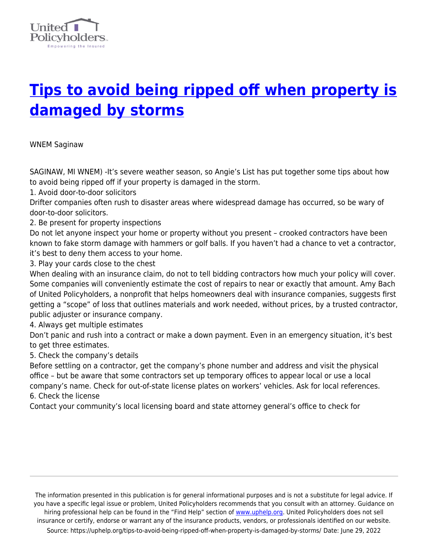

## **[Tips to avoid being ripped off when property is](https://uphelp.org/tips-to-avoid-being-ripped-off-when-property-is-damaged-by-storms/) [damaged by storms](https://uphelp.org/tips-to-avoid-being-ripped-off-when-property-is-damaged-by-storms/)**

WNEM Saginaw

SAGINAW, MI WNEM) -It's severe weather season, so Angie's List has put together some tips about how to avoid being ripped off if your property is damaged in the storm.

1. Avoid door-to-door solicitors

Drifter companies often rush to disaster areas where widespread damage has occurred, so be wary of door-to-door solicitors.

2. Be present for property inspections

Do not let anyone inspect your home or property without you present – crooked contractors have been known to fake storm damage with hammers or golf balls. If you haven't had a chance to vet a contractor, it's best to deny them access to your home.

3. Play your cards close to the chest

When dealing with an insurance claim, do not to tell bidding contractors how much your policy will cover. Some companies will conveniently estimate the cost of repairs to near or exactly that amount. Amy Bach of United Policyholders, a nonprofit that helps homeowners deal with insurance companies, suggests first getting a "scope" of loss that outlines materials and work needed, without prices, by a trusted contractor, public adjuster or insurance company.

4. Always get multiple estimates

Don't panic and rush into a contract or make a down payment. Even in an emergency situation, it's best to get three estimates.

5. Check the company's details

Before settling on a contractor, get the company's phone number and address and visit the physical office – but be aware that some contractors set up temporary offices to appear local or use a local company's name. Check for out-of-state license plates on workers' vehicles. Ask for local references. 6. Check the license

Contact your community's local licensing board and state attorney general's office to check for

The information presented in this publication is for general informational purposes and is not a substitute for legal advice. If you have a specific legal issue or problem, United Policyholders recommends that you consult with an attorney. Guidance on hiring professional help can be found in the "Find Help" section of [www.uphelp.org.](http://www.uphelp.org/) United Policyholders does not sell insurance or certify, endorse or warrant any of the insurance products, vendors, or professionals identified on our website. Source: https://uphelp.org/tips-to-avoid-being-ripped-off-when-property-is-damaged-by-storms/ Date: June 29, 2022